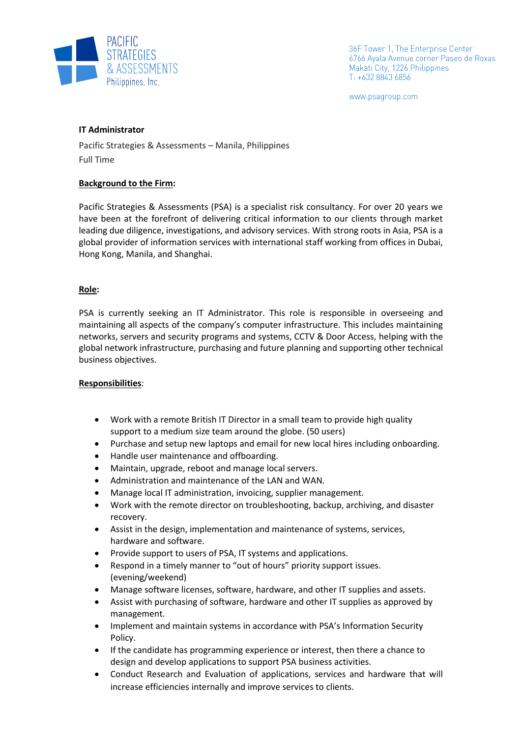

36F Tower 1, The Enterprise Center 6766 Ayala Avenue corner Paseo de Roxas Makati City, 1226 Philippines T: +632 8843 6856

www.psagroup.com

# **IT Administrator**

Pacific Strategies & Assessments – Manila, Philippines Full Time

# **Background to the Firm:**

Pacific Strategies & Assessments (PSA) is a specialist risk consultancy. For over 20 years we have been at the forefront of delivering critical information to our clients through market leading due diligence, investigations, and advisory services. With strong roots in Asia, PSA is a global provider of information services with international staff working from offices in Dubai, Hong Kong, Manila, and Shanghai.

# **Role:**

PSA is currently seeking an IT Administrator. This role is responsible in overseeing and maintaining all aspects of the company's computer infrastructure. This includes maintaining networks, servers and security programs and systems, CCTV & Door Access, helping with the global network infrastructure, purchasing and future planning and supporting other technical business objectives.

#### **Responsibilities**:

- Work with a remote British IT Director in a small team to provide high quality support to a medium size team around the globe. (50 users)
- Purchase and setup new laptops and email for new local hires including onboarding.
- Handle user maintenance and offboarding.
- Maintain, upgrade, reboot and manage local servers.
- Administration and maintenance of the LAN and WAN.
- Manage local IT administration, invoicing, supplier management.
- Work with the remote director on troubleshooting, backup, archiving, and disaster recovery.
- Assist in the design, implementation and maintenance of systems, services, hardware and software.
- Provide support to users of PSA, IT systems and applications.
- Respond in a timely manner to "out of hours" priority support issues. (evening/weekend)
- Manage software licenses, software, hardware, and other IT supplies and assets.
- Assist with purchasing of software, hardware and other IT supplies as approved by management.
- Implement and maintain systems in accordance with PSA's Information Security Policy.
- If the candidate has programming experience or interest, then there a chance to design and develop applications to support PSA business activities.
- Conduct Research and Evaluation of applications, services and hardware that will increase efficiencies internally and improve services to clients.